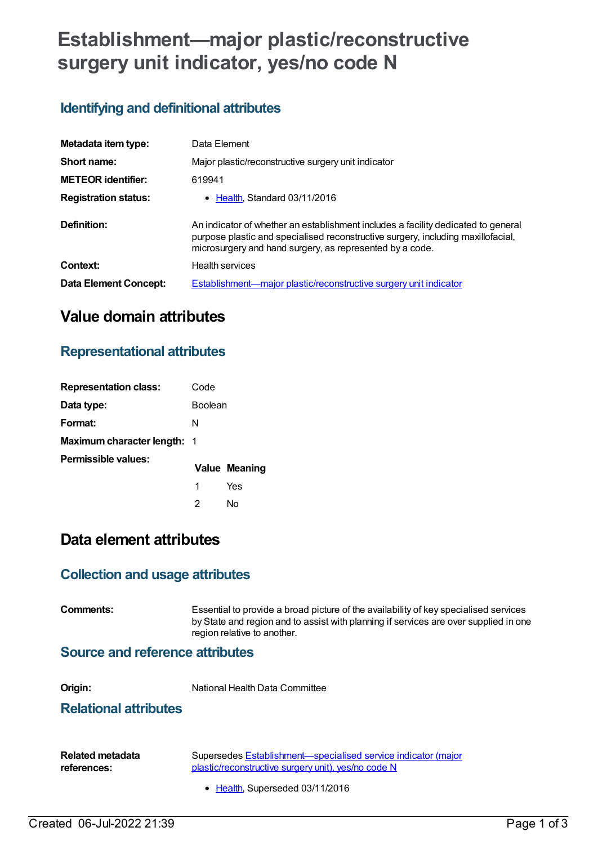# **Establishment—major plastic/reconstructive surgery unit indicator, yes/no code N**

## **Identifying and definitional attributes**

| Metadata item type:          | Data Element                                                                                                                                                                                                                      |
|------------------------------|-----------------------------------------------------------------------------------------------------------------------------------------------------------------------------------------------------------------------------------|
| Short name:                  | Major plastic/reconstructive surgery unit indicator                                                                                                                                                                               |
| <b>METEOR</b> identifier:    | 619941                                                                                                                                                                                                                            |
| <b>Registration status:</b>  | • Health Standard 03/11/2016                                                                                                                                                                                                      |
| Definition:                  | An indicator of whether an establishment includes a facility dedicated to general<br>purpose plastic and specialised reconstructive surgery, including maxillofacial,<br>microsurgery and hand surgery, as represented by a code. |
| Context:                     | <b>Health services</b>                                                                                                                                                                                                            |
| <b>Data Element Concept:</b> | <b>Establishment—major plastic/reconstructive surgery unit indicator</b>                                                                                                                                                          |

## **Value domain attributes**

## **Representational attributes**

| <b>Representation class:</b>       | Code           |                      |
|------------------------------------|----------------|----------------------|
| Data type:                         | <b>Boolean</b> |                      |
| Format:                            | N              |                      |
| <b>Maximum character length: 1</b> |                |                      |
| Permissible values:                |                | <b>Value Meaning</b> |
|                                    | 1              | Yes                  |
|                                    | 2              | N٥                   |

## **Data element attributes**

#### **Collection and usage attributes**

| Comments: | Essential to provide a broad picture of the availability of key specialised services<br>by State and region and to assist with planning if services are over supplied in one<br>region relative to another. |
|-----------|-------------------------------------------------------------------------------------------------------------------------------------------------------------------------------------------------------------|
|           |                                                                                                                                                                                                             |

### **Source and reference attributes**

| Origin: | National Health Data Committee |
|---------|--------------------------------|
|         |                                |

#### **Relational attributes**

| Related metadata | Supersedes Establishment—specialised service indicator (major |  |
|------------------|---------------------------------------------------------------|--|
| references:      | plastic/reconstructive surgery unit), yes/no code N           |  |
|                  | • Health, Superseded 03/11/2016                               |  |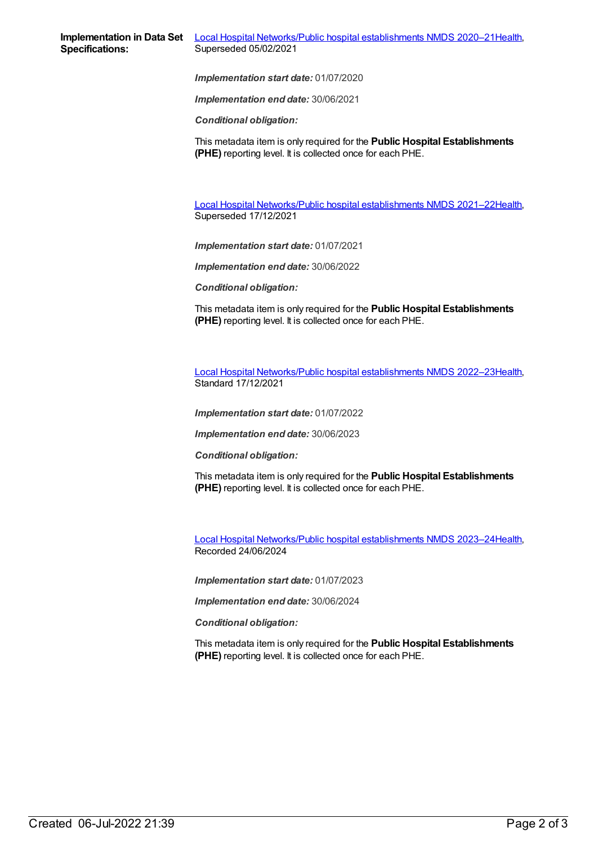*Implementation start date:* 01/07/2020

*Implementation end date:* 30/06/2021

*Conditional obligation:*

This metadata item is only required for the **Public Hospital Establishments (PHE)** reporting level. It is collected once for each PHE.

Local Hospital [Networks/Public](https://meteor.aihw.gov.au/content/727356) hospital establishments NMDS 2021–22[Health](https://meteor.aihw.gov.au/RegistrationAuthority/12), Superseded 17/12/2021

*Implementation start date:* 01/07/2021

*Implementation end date:* 30/06/2022

*Conditional obligation:*

This metadata item is only required for the **Public Hospital Establishments (PHE)** reporting level. It is collected once for each PHE.

Local Hospital [Networks/Public](https://meteor.aihw.gov.au/content/742044) hospital establishments NMDS 2022–23[Health](https://meteor.aihw.gov.au/RegistrationAuthority/12), Standard 17/12/2021

*Implementation start date:* 01/07/2022

*Implementation end date:* 30/06/2023

*Conditional obligation:*

This metadata item is only required for the **Public Hospital Establishments (PHE)** reporting level. It is collected once for each PHE.

Local Hospital [Networks/Public](https://meteor.aihw.gov.au/content/756101) hospital establishments NMDS 2023–24[Health](https://meteor.aihw.gov.au/RegistrationAuthority/12), Recorded 24/06/2024

*Implementation start date:* 01/07/2023

*Implementation end date:* 30/06/2024

*Conditional obligation:*

This metadata item is only required for the **Public Hospital Establishments (PHE)** reporting level. It is collected once for each PHE.